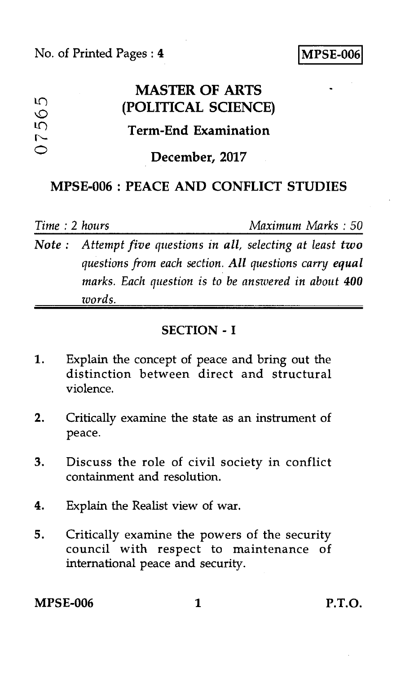| M<br>$\circ$<br>$\mathfrak{g}$<br>$\sim$ | <b>MASTER OF ARTS</b><br>(POLITICAL SCIENCE) | $\bullet$ |
|------------------------------------------|----------------------------------------------|-----------|
|                                          | <b>Term-End Examination</b>                  |           |
|                                          | December, 2017                               |           |

### MPSE-006 : PEACE AND CONFLICT STUDIES

*Time :* 2 *hours Maximum Marks : 50* 

*Note : Attempt five questions in all, selecting at least two questions from each section. All questions carry equal marks. Each question is to be answered in about 400 words.* 

### SECTION - I

- 1. Explain the concept of peace and bring out the distinction between direct and structural violence.
- 2. Critically examine the state as an instrument of peace.
- 3. Discuss the role of civil society in conflict containment and resolution.
- 4. Explain the Realist view of war.
- 5. Critically examine the powers of the security council with respect to maintenance of international peace and security.

MPSE-006 1 P.T.O.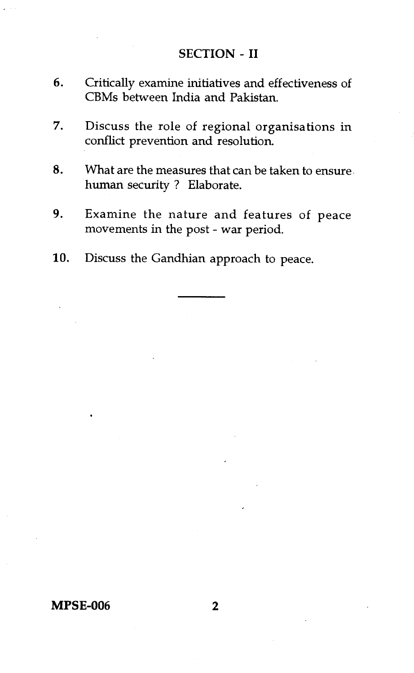#### **SECTION - II**

- 6. Critically examine initiatives and effectiveness of CBMs between India and Pakistan.
- 7. Discuss the role of regional organisations in conflict prevention and resolution.
- 8. What are the measures that can be taken to ensure. human security ? Elaborate.
- 9. Examine the nature and features of peace movements in the post - war period.
- 10. Discuss the Gandhian approach to peace.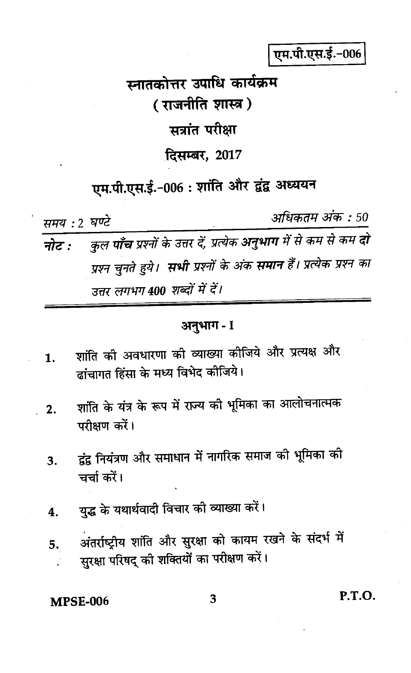पम.पी.एस.ई.-006

स्नातकोत्तर उपाधि कार्यक्रम (राजनीति शास्त्र) सत्रांत परीक्षा दिसम्बर, 2017

# एम.पी.एस.ई.-006: शांति और द्वंद्व अध्ययन

समय : 2 घण्टे

अधिकतम अंक : 50

कुल **पाँच** प्रश्नों के उत्तर दें, प्रत्येक **अनुभाग** में से कम से कम **दो** नोट : प्रश्न चुनते हुये। **सभी** प्रश्नों के अंक **समान** हैं। प्रत्येक प्रश्न का उत्तर लगभग 400 शब्दों में दें।

## अनुभाग - I

- शांति की अवधारणा की व्याख्या कीजिये और प्रत्यक्ष और  $\mathbf 1$ . ढांचागत हिंसा के मध्य विभेद कीजिये।
- शांति के यंत्र के रूप में राज्य की भूमिका का आलोचनात्मक  $2.$ परीक्षण करें।
- द्वंद्व नियंत्रण और समाधान में नागरिक समाज की भूमिका की 3. चर्चा करें।
- युद्ध के यथार्थवादी विचार की व्याख्या करें।  $\boldsymbol{4}$ .
- अंतर्राष्ट्रीय शांति और सुरक्षा को कायम रखने के संदर्भ में 5. सुरक्षा परिषद् की शक्तियों का परीक्षण करें।

### **MPSE-006**

P.T.O.